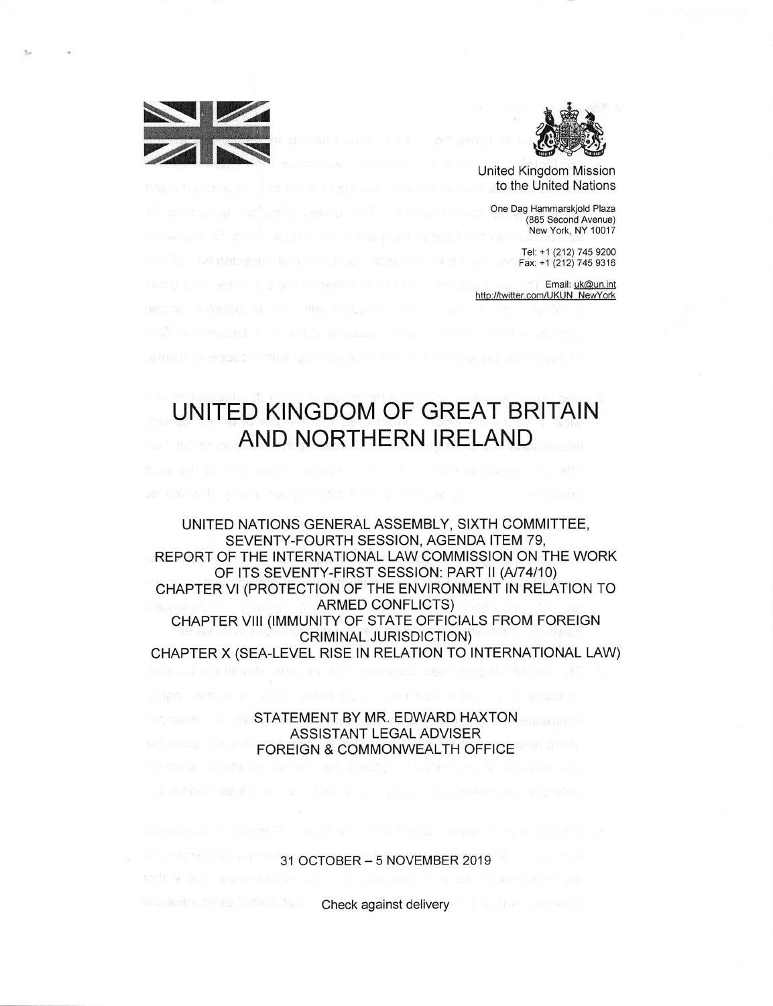



United Kingdom Mission to the United Nations

One Dag Hammarskjold Plaza (885 Second Avenue) New York, NY 10017

Tel: +1 (212) 745 9200  $Fax: +1$  (212) 745 9316

Email: uk@un.int http://twitter.com/UKUN NewYork

## UNITED KINGDOM OF GREAT BRITAIN AND NORTHERN IRELAND

UNITED NATIONS GENERAL ASSEMBLY, SIXTH COMMITTEE, SEVENTY-FOURTH SESSION, AGENDA ITEM 79, REPORT OF THE INTERNATIONAL LAW COMMISSION ON THE WORK OF ITS SEVENTY-FIRST SESSION: PART II (A/74/10) CHAPTER VI (PROTECTION OF THE ENVIRONMENT IN RELATION TO ARMED CONFLICTS) CHAPTER VIII (IMMUNITY OF STATE OFFICIALS FROM FOREIGN CRIMINAL JURISDICTION) CHAPTER X (SEA-LEVEL RISE IN RELATION TO INTERNATIONAL LAW)

> STATEMENT BY MR. EDWARD HAXTON ASSISTANT LEGAL ADVISER FOREIGN & COMMONWEALTH OFFICE

> > 31 OCTOBER - 5 NOVEMBER 2019

ediagoin mexa cotarà de la **Check against delivery** in the UNIA commod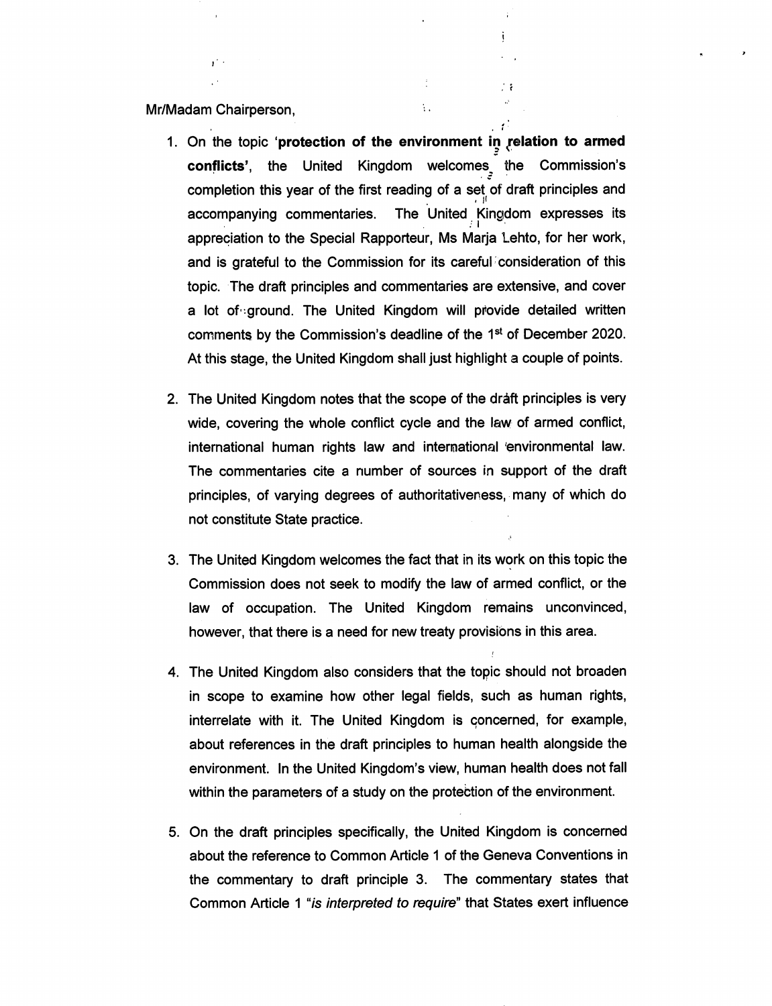Mr/Madam Chairperson,

1. On the topic 'protection of the environment in relation to armed confiicts', the United Kingdom welcomes, the Commission's completion this year of the first reading of a set of draft principles and accompanying commentaries. The United Kingdom expresses its appreciation to the Special Rapporteur, Ms Marja Lehto, for her work, and is grateful to the Commission for its careful consideration of this topic. The draft principles and commentaries are extensive, and cover a lot of ground. The United Kingdom will provide detailed written comments by the Commission's deadline of the 1®' of December 2020. At this stage, the United Kingdom shall just highlight a couple of points.

 $\frac{1}{2}$ 

 $\mathcal{V}_{\mathcal{A}}$ 

 $\pm$  2

\* » \*

- 2. The United Kingdom notes that the scope of the draft principles is very wide, covering the whole conflict cycle and the law of armed conflict, international human rights law and international 'environmental law. The commentaries cite a number of sources in support of the draft principles, of varying degrees of authoritativeness, many of which do not constitute State practice.
- 3. The United Kingdom welcomes the fact that in its work on this topic the Commission does not seek to modify the law of armed conflict, or the law of occupation. The United Kingdom remains unconvinced, however, that there is a need for new treaty provisions in this area.
- 4. The United Kingdom also considers that the topic should not broaden in scope to examine how other legal fields, such as human rights, interrelate with it. The United Kingdom is concerned, for example, about references in the draft principles to human health alongside the environment. In the United Kingdom's view, human health does not fall within the parameters of a study on the protection of the environment.
- 5. On the draft principles specifically, the United Kingdom is concerned about the reference to Common Article 1 of the Geneva Conventions in the commentary to draft principle 3. The commentary states that Common Article 1 "is interpreted to require" that States exert influence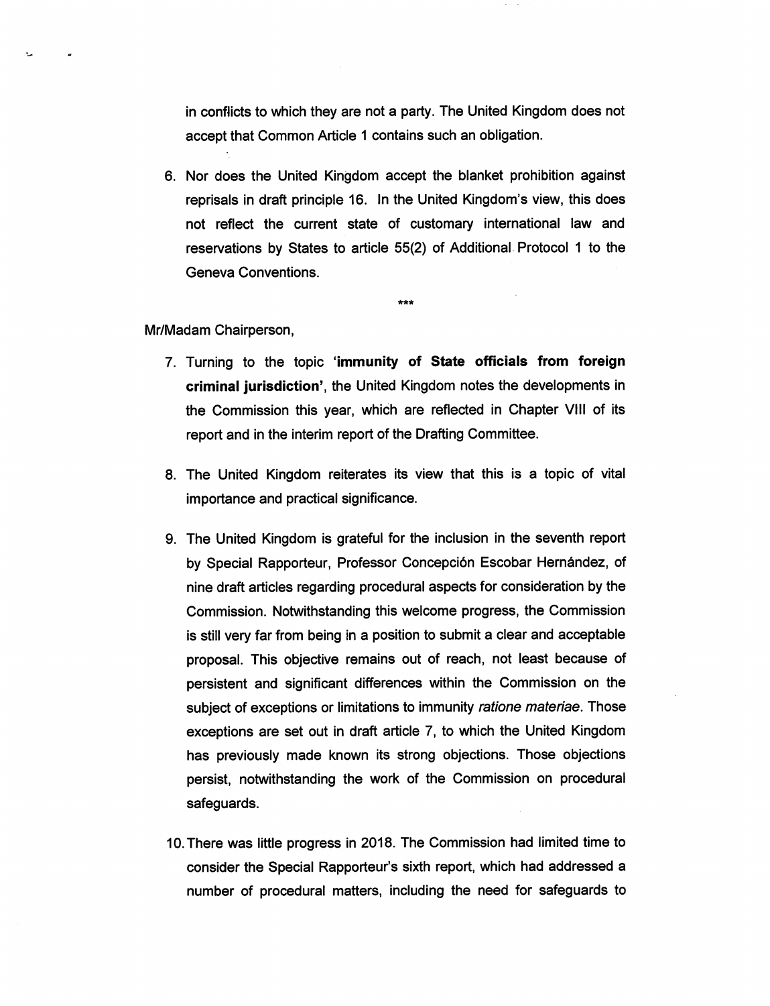in conflicts to which they are not a party. The United Kingdom does not accept that Common Article 1 contains such an obligation.

6. Nor does the United Kingdom accept the blanket prohibition against reprisals in draft principle 16. In the United Kingdom's view, this does not reflect the current state of customary international law and reservations by States to article 55(2) of Additional Protocol 1 to the Geneva Conventions.

\*\*\*

## Mr/Madam Chairperson,

- 7. Turning to the topic 'immunity of State officiais from foreign criminal jurisdiction', the United Kingdom notes the developments in the Commission this year, which are reflected in Chapter VIII of its report and in the interim report of the Drafting Committee.
- 8. The United Kingdom reiterates its view that this is a topic of vital importance and practical significance.
- 9. The United Kingdom is grateful for the inclusion in the seventh report by Special Rapporteur, Professor Concepción Escobar Hernández, of nine draft articles regarding procedural aspects for consideration by the Commission. Notwithstanding this welcome progress, the Commission is still very far from being in a position to submit a clear and acceptable proposal. This objective remains out of reach, not least because of persistent and significant differences within the Commission on the subject of exceptions or limitations to immunity ratione materiae. Those exceptions are set out in draft article 7, to which the United Kingdom has previously made known its strong objections. Those objections persist, notwithstanding the work of the Commission on procedural safeguards.
- 10. There was little progress in 2018. The Commission had limited time to consider the Special Rapporteur's sixth report, which had addressed a number of procedural matters, including the need for safeguards to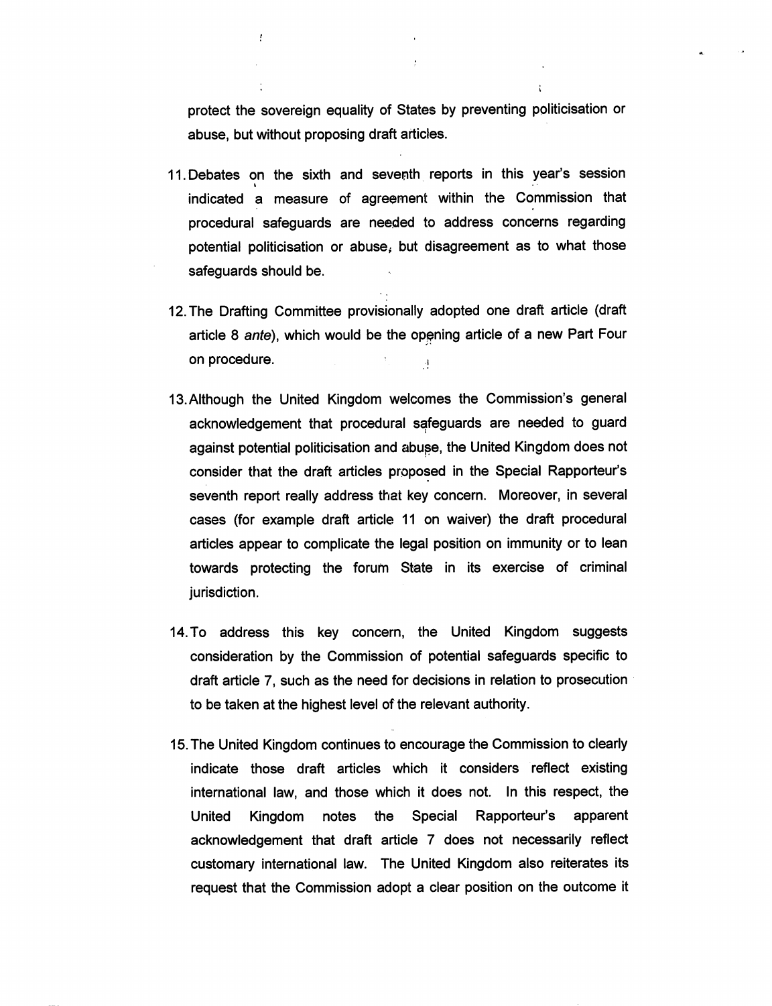protect the sovereign equality of States by preventing politicisation or abuse, but without proposing draft articles.

 $\mathfrak{t}$ 

- 11. Debates on the sixth and seventh reports in this year's session  $\ddot{\phantom{0}}$ indicated a measure of agreement within the Commission that procedural safeguards are needed to address concerns regarding potential politicisation or abuse, but disagreement as to what those safeguards should be.
- 12. The Drafting Committee provisionally adopted one draft article (draft article 8 ante), which would be the opening article of a new Part Four on procedure.
- 13. Although the United Kingdom welcomes the Commission's general acknowledgement that procedural safeguards are needed to guard against potential politicisation and abuge, the United Kingdom does not consider that the draft articles proposed in the Special Rapporteur's seventh report really address that key concern. Moreover, in several cases (for example draft article 11 on waiver) the draft procedural articles appear to complicate the legal position on immunity or to lean towards protecting the forum State in its exercise of criminal jurisdiction.
- 14. To address this key concern, the United Kingdom suggests consideration by the Commission of potential safeguards specific to draft article 7, such as the need for decisions in relation to prosecution to be taken at the highest level of the relevant authority.
- 15. The United Kingdom continues to encourage the Commission to clearly indicate those draft articles which it considers reflect existing international law, and those which it does not. In this respect, the United Kingdom notes the Special Rapporteur's apparent acknowledgement that draft article 7 does not necessarily reflect customary international law. The United Kingdom also reiterates its request that the Commission adopt a clear position on the outcome it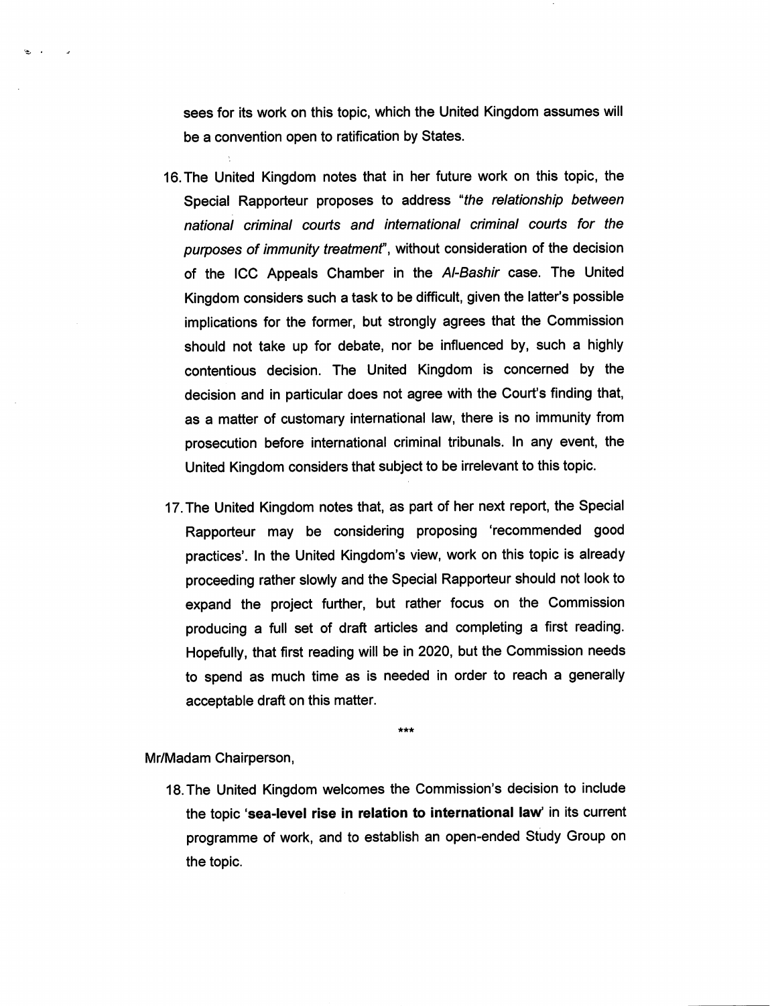sees for its work on this topic, which the United Kingdom assumes will be a convention open to ratification by States.

- 16. The United Kingdom notes that in her future work on this topic, the Special Rapporteur proposes to address "the relationship between nationai criminai courts and intemationai criminal courts for the purposes of immunity treatment", without consideration of the decision of the ICC Appeais Chamber in the Ai-Bashir case. The United Kingdom considers such a task to be difficult, given the latter's possible implications for the former, but strongly agrees that the Commission should not take up for debate, nor be influenced by, such a highly contentious decision. The United Kingdom is concerned by the decision and in particular does not agree with the Court's finding that, as a matter of customary international law, there is no immunity from prosecution before international criminal tribunals. In any event, the United Kingdom considers that subject to be irrelevant to this topic.
- 17. The United Kingdom notes that, as part of her next report, the Special Rapporteur may be considering proposing 'recommended good practices'. In the United Kingdom's view, work on this topic is already proceeding rather slowly and the Special Rapporteur should not look to expand the project further, but rather focus on the Commission producing a full set of draft articles and completing a first reading. Hopefully, that first reading will be in 2020, but the Commission needs to spend as much time as is needed in order to reach a generaliy acceptabie draft on this matter.

\*\*\*

## Mr/Madam Chairperson,

 $\sum_{i=1}^{n}$ 

18. The United Kingdom welcomes the Commission's decision to include the topic 'sea-level rise in relation to international law' in its current programme of work, and to establish an open-ended Study Group on the topic.